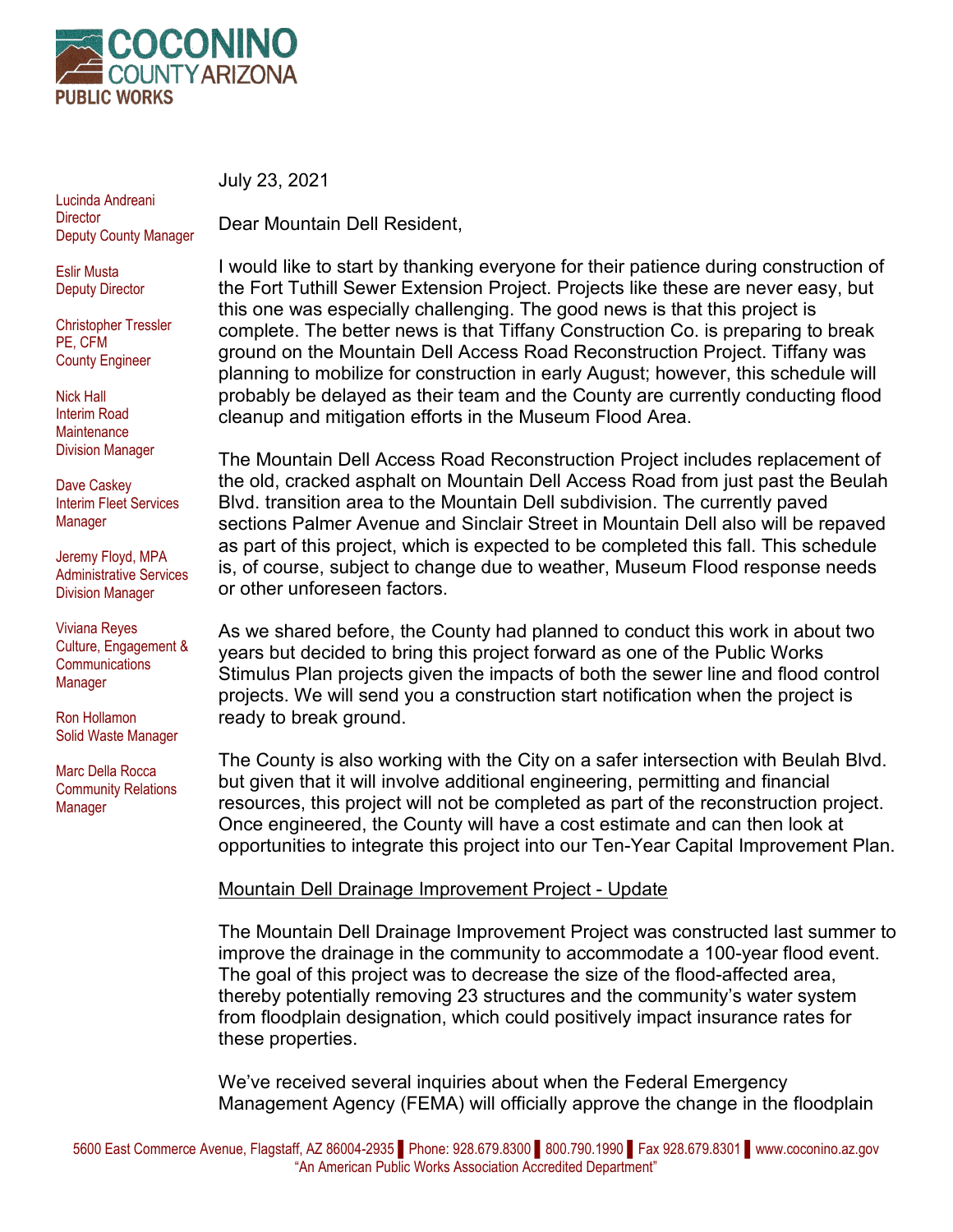

Lucinda Andreani **Director** Deputy County Manager

Eslir Musta Deputy Director

Christopher Tressler PE, CFM County Engineer

Nick Hall Interim Road **Maintenance** Division Manager

Dave Caskey Interim Fleet Services Manager

Jeremy Floyd, MPA Administrative Services Division Manager

Viviana Reyes Culture, Engagement & **Communications** Manager

Ron Hollamon Solid Waste Manager

Marc Della Rocca Community Relations Manager

July 23, 2021

Dear Mountain Dell Resident,

I would like to start by thanking everyone for their patience during construction of the Fort Tuthill Sewer Extension Project. Projects like these are never easy, but this one was especially challenging. The good news is that this project is complete. The better news is that Tiffany Construction Co. is preparing to break ground on the Mountain Dell Access Road Reconstruction Project. Tiffany was planning to mobilize for construction in early August; however, this schedule will probably be delayed as their team and the County are currently conducting flood cleanup and mitigation efforts in the Museum Flood Area.

The Mountain Dell Access Road Reconstruction Project includes replacement of the old, cracked asphalt on Mountain Dell Access Road from just past the Beulah Blvd. transition area to the Mountain Dell subdivision. The currently paved sections Palmer Avenue and Sinclair Street in Mountain Dell also will be repaved as part of this project, which is expected to be completed this fall. This schedule is, of course, subject to change due to weather, Museum Flood response needs or other unforeseen factors.

As we shared before, the County had planned to conduct this work in about two years but decided to bring this project forward as one of the Public Works Stimulus Plan projects given the impacts of both the sewer line and flood control projects. We will send you a construction start notification when the project is ready to break ground.

The County is also working with the City on a safer intersection with Beulah Blvd. but given that it will involve additional engineering, permitting and financial resources, this project will not be completed as part of the reconstruction project. Once engineered, the County will have a cost estimate and can then look at opportunities to integrate this project into our Ten-Year Capital Improvement Plan.

## Mountain Dell Drainage Improvement Project - Update

The Mountain Dell Drainage Improvement Project was constructed last summer to improve the drainage in the community to accommodate a 100-year flood event. The goal of this project was to decrease the size of the flood-affected area, thereby potentially removing 23 structures and the community's water system from floodplain designation, which could positively impact insurance rates for these properties.

We've received several inquiries about when the Federal Emergency Management Agency (FEMA) will officially approve the change in the floodplain